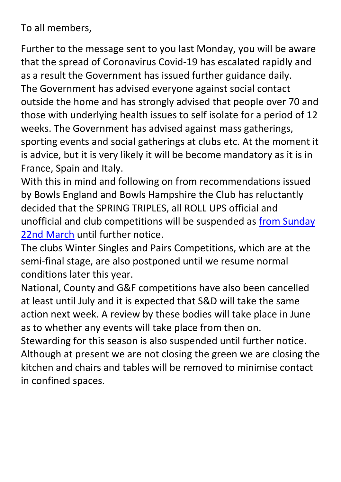To all members,

Further to the message sent to you last Monday, you will be aware that the spread of Coronavirus Covid-19 has escalated rapidly and as a result the Government has issued further guidance daily. The Government has advised everyone against social contact outside the home and has strongly advised that people over 70 and those with underlying health issues to self isolate for a period of 12 weeks. The Government has advised against mass gatherings, sporting events and social gatherings at clubs etc. At the moment it is advice, but it is very likely it will be become mandatory as it is in France, Spain and Italy.

With this in mind and following on from recommendations issued by Bowls England and Bowls Hampshire the Club has reluctantly decided that the SPRING TRIPLES, all ROLL UPS official and unofficial and club competitions will be suspended as from Sunday 22nd March until further notice.

The clubs Winter Singles and Pairs Competitions, which are at the semi-final stage, are also postponed until we resume normal conditions later this year.

National, County and G&F competitions have also been cancelled at least until July and it is expected that S&D will take the same action next week. A review by these bodies will take place in June as to whether any events will take place from then on.

Stewarding for this season is also suspended until further notice. Although at present we are not closing the green we are closing the kitchen and chairs and tables will be removed to minimise contact in confined spaces.